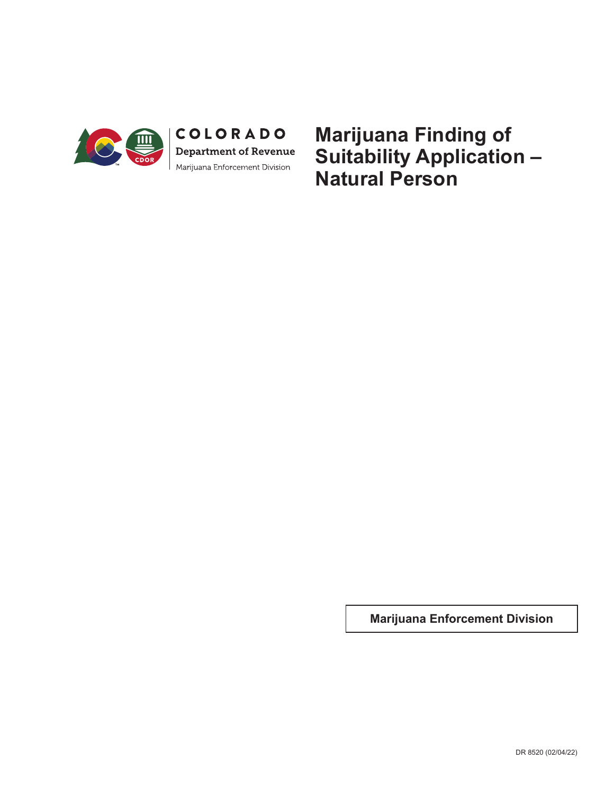

**Marijuana Finding of Suitability Application – Natural Person**

**Marijuana Enforcement Division**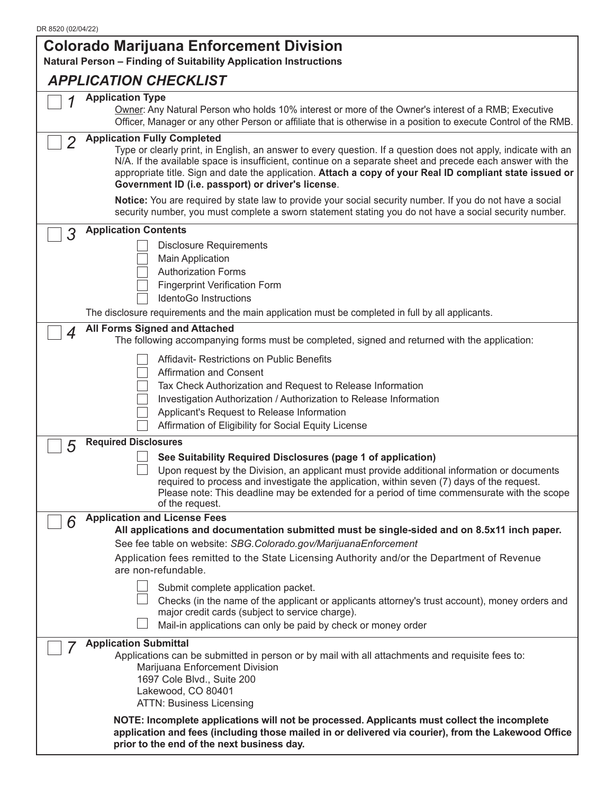|                | <b>Colorado Marijuana Enforcement Division</b><br>Natural Person - Finding of Suitability Application Instructions                                                                                                                                                                                                                                                                                                                    |
|----------------|---------------------------------------------------------------------------------------------------------------------------------------------------------------------------------------------------------------------------------------------------------------------------------------------------------------------------------------------------------------------------------------------------------------------------------------|
|                | <b>APPLICATION CHECKLIST</b>                                                                                                                                                                                                                                                                                                                                                                                                          |
|                | <b>Application Type</b><br>Owner: Any Natural Person who holds 10% interest or more of the Owner's interest of a RMB; Executive<br>Officer, Manager or any other Person or affiliate that is otherwise in a position to execute Control of the RMB.                                                                                                                                                                                   |
| $\overline{2}$ | <b>Application Fully Completed</b><br>Type or clearly print, in English, an answer to every question. If a question does not apply, indicate with an<br>N/A. If the available space is insufficient, continue on a separate sheet and precede each answer with the<br>appropriate title. Sign and date the application. Attach a copy of your Real ID compliant state issued or<br>Government ID (i.e. passport) or driver's license. |
|                | Notice: You are required by state law to provide your social security number. If you do not have a social<br>security number, you must complete a sworn statement stating you do not have a social security number.                                                                                                                                                                                                                   |
| 3              | <b>Application Contents</b>                                                                                                                                                                                                                                                                                                                                                                                                           |
|                | <b>Disclosure Requirements</b><br>Main Application<br><b>Authorization Forms</b><br><b>Fingerprint Verification Form</b><br><b>IdentoGo Instructions</b>                                                                                                                                                                                                                                                                              |
|                | The disclosure requirements and the main application must be completed in full by all applicants.                                                                                                                                                                                                                                                                                                                                     |
| 4              | <b>All Forms Signed and Attached</b><br>The following accompanying forms must be completed, signed and returned with the application:                                                                                                                                                                                                                                                                                                 |
|                | Affidavit- Restrictions on Public Benefits<br><b>Affirmation and Consent</b><br>Tax Check Authorization and Request to Release Information<br>Investigation Authorization / Authorization to Release Information<br>Applicant's Request to Release Information<br>Affirmation of Eligibility for Social Equity License                                                                                                                |
| 5              | <b>Required Disclosures</b>                                                                                                                                                                                                                                                                                                                                                                                                           |
|                | See Suitability Required Disclosures (page 1 of application)<br>Upon request by the Division, an applicant must provide additional information or documents<br>required to process and investigate the application, within seven (7) days of the request.<br>Please note: This deadline may be extended for a period of time commensurate with the scope<br>of the request.                                                           |
| 6              | <b>Application and License Fees</b>                                                                                                                                                                                                                                                                                                                                                                                                   |
|                | All applications and documentation submitted must be single-sided and on 8.5x11 inch paper.<br>See fee table on website: SBG.Colorado.gov/MarijuanaEnforcement                                                                                                                                                                                                                                                                        |
|                | Application fees remitted to the State Licensing Authority and/or the Department of Revenue<br>are non-refundable.                                                                                                                                                                                                                                                                                                                    |
|                | Submit complete application packet.<br>Checks (in the name of the applicant or applicants attorney's trust account), money orders and<br>major credit cards (subject to service charge).<br>Mail-in applications can only be paid by check or money order                                                                                                                                                                             |
|                | <b>Application Submittal</b><br>Applications can be submitted in person or by mail with all attachments and requisite fees to:<br>Marijuana Enforcement Division<br>1697 Cole Blvd., Suite 200<br>Lakewood, CO 80401<br><b>ATTN: Business Licensing</b>                                                                                                                                                                               |
|                | NOTE: Incomplete applications will not be processed. Applicants must collect the incomplete<br>application and fees (including those mailed in or delivered via courier), from the Lakewood Office<br>prior to the end of the next business day.                                                                                                                                                                                      |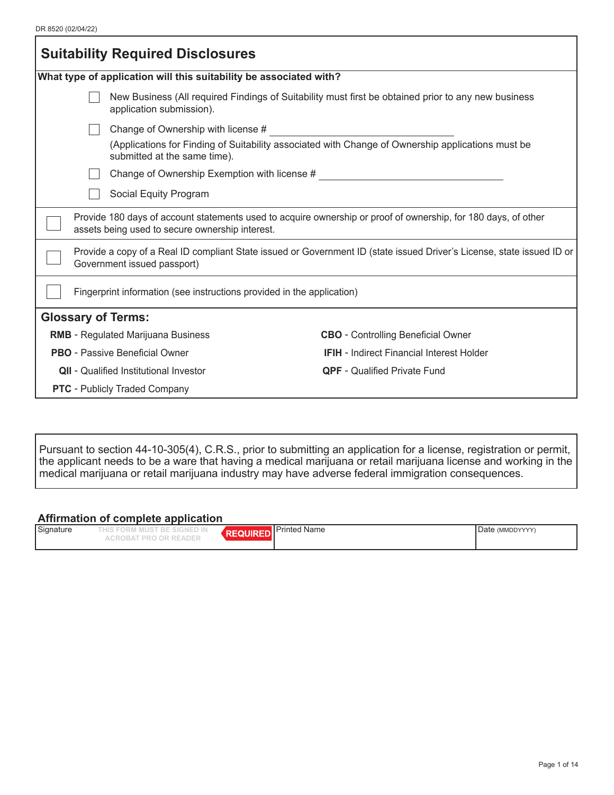| <b>Suitability Required Disclosures</b> |                                                                                                                                                                   |                                                                                                   |  |  |
|-----------------------------------------|-------------------------------------------------------------------------------------------------------------------------------------------------------------------|---------------------------------------------------------------------------------------------------|--|--|
|                                         | What type of application will this suitability be associated with?                                                                                                |                                                                                                   |  |  |
|                                         | New Business (All required Findings of Suitability must first be obtained prior to any new business<br>application submission).                                   |                                                                                                   |  |  |
|                                         | Change of Ownership with license #                                                                                                                                |                                                                                                   |  |  |
|                                         | submitted at the same time).                                                                                                                                      | (Applications for Finding of Suitability associated with Change of Ownership applications must be |  |  |
|                                         | Change of Ownership Exemption with license #                                                                                                                      |                                                                                                   |  |  |
|                                         | Social Equity Program                                                                                                                                             |                                                                                                   |  |  |
|                                         | Provide 180 days of account statements used to acquire ownership or proof of ownership, for 180 days, of other<br>assets being used to secure ownership interest. |                                                                                                   |  |  |
|                                         | Provide a copy of a Real ID compliant State issued or Government ID (state issued Driver's License, state issued ID or<br>Government issued passport)             |                                                                                                   |  |  |
|                                         | Fingerprint information (see instructions provided in the application)                                                                                            |                                                                                                   |  |  |
| <b>Glossary of Terms:</b>               |                                                                                                                                                                   |                                                                                                   |  |  |
|                                         | <b>RMB</b> - Regulated Marijuana Business<br><b>CBO</b> - Controlling Beneficial Owner                                                                            |                                                                                                   |  |  |
|                                         | <b>PBO</b> - Passive Beneficial Owner<br><b>IFIH</b> - Indirect Financial Interest Holder                                                                         |                                                                                                   |  |  |
|                                         | <b>QII</b> - Qualified Institutional Investor<br><b>QPF</b> - Qualified Private Fund                                                                              |                                                                                                   |  |  |
| <b>PTC</b> - Publicly Traded Company    |                                                                                                                                                                   |                                                                                                   |  |  |
|                                         |                                                                                                                                                                   |                                                                                                   |  |  |

Pursuant to section 44-10-305(4), C.R.S., prior to submitting an application for a license, registration or permit, the applicant needs to be a ware that having a medical marijuana or retail marijuana license and working in the medical marijuana or retail marijuana industry may have adverse federal immigration consequences.

#### **Affirmation of complete application**

| Signature | ___<br>I MUST BE SIGNED IN<br>HIS FORM | Printed Name | Date (MMDDYYYY) |
|-----------|----------------------------------------|--------------|-----------------|
|           | ROBAT PRO OR READER:                   |              |                 |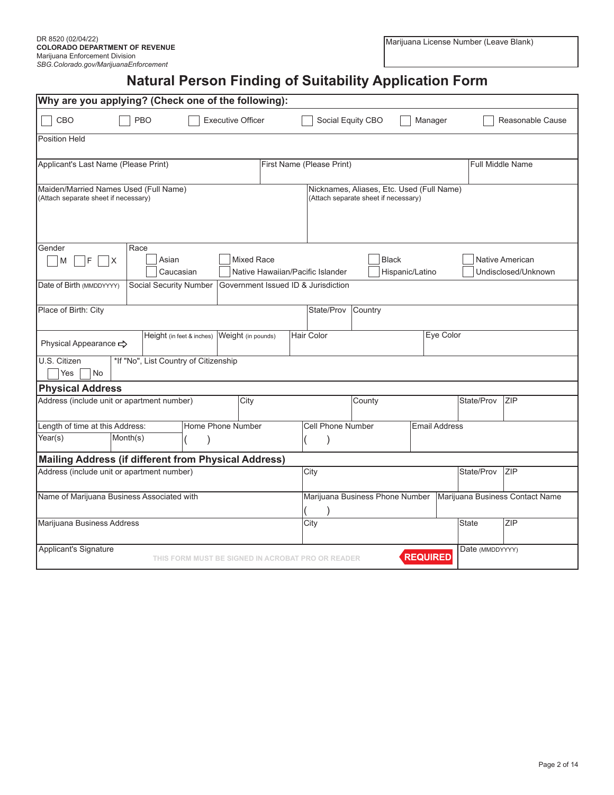# **Natural Person Finding of Suitability Application Form**

| Why are you applying? (Check one of the following):                           |                                                   |                                     |                                                                                   |                      |                         |                                               |
|-------------------------------------------------------------------------------|---------------------------------------------------|-------------------------------------|-----------------------------------------------------------------------------------|----------------------|-------------------------|-----------------------------------------------|
| CBO<br>PBO                                                                    | <b>Executive Officer</b>                          |                                     | Social Equity CBO                                                                 | Manager              |                         | Reasonable Cause                              |
| <b>Position Held</b>                                                          |                                                   |                                     |                                                                                   |                      |                         |                                               |
| Applicant's Last Name (Please Print)                                          |                                                   | First Name (Please Print)           |                                                                                   |                      | <b>Full Middle Name</b> |                                               |
| Maiden/Married Names Used (Full Name)<br>(Attach separate sheet if necessary) |                                                   |                                     | Nicknames, Aliases, Etc. Used (Full Name)<br>(Attach separate sheet if necessary) |                      |                         |                                               |
| Gender<br>Race                                                                |                                                   |                                     |                                                                                   |                      |                         |                                               |
| F<br>M<br>ΙX                                                                  | Asian<br><b>Mixed Race</b><br>Caucasian           | Native Hawaiian/Pacific Islander    | <b>Black</b>                                                                      | Hispanic/Latino      |                         | <b>Native American</b><br>Undisclosed/Unknown |
| Date of Birth (MMDDYYYY)                                                      | Social Security Number                            | Government Issued ID & Jurisdiction |                                                                                   |                      |                         |                                               |
| Place of Birth: City                                                          |                                                   | State/Prov                          | Country                                                                           |                      |                         |                                               |
| Physical Appearance <>                                                        | Height (in feet & inches)<br>Weight (in pounds)   | Hair Color                          |                                                                                   | Eye Color            |                         |                                               |
| U.S. Citizen<br><b>No</b><br>Yes                                              | *If "No", List Country of Citizenship             |                                     |                                                                                   |                      |                         |                                               |
| <b>Physical Address</b>                                                       |                                                   |                                     |                                                                                   |                      |                         |                                               |
| Address (include unit or apartment number)                                    | City                                              |                                     | County                                                                            |                      | State/Prov              | <b>ZIP</b>                                    |
| Length of time at this Address:                                               | Home Phone Number                                 | Cell Phone Number                   |                                                                                   | <b>Email Address</b> |                         |                                               |
| Year(s)<br>Month(s)                                                           |                                                   |                                     |                                                                                   |                      |                         |                                               |
| <b>Mailing Address (if different from Physical Address)</b>                   |                                                   |                                     |                                                                                   |                      |                         |                                               |
| Address (include unit or apartment number)                                    |                                                   | City                                |                                                                                   |                      | State/Prov              | <b>ZIP</b>                                    |
| Name of Marijuana Business Associated with                                    |                                                   |                                     | Marijuana Business Phone Number                                                   |                      |                         | Marijuana Business Contact Name               |
| Marijuana Business Address                                                    |                                                   | City                                |                                                                                   |                      | <b>State</b>            | ZIP                                           |
| Applicant's Signature                                                         | THIS FORM MUST BE SIGNED IN ACROBAT PRO OR READER |                                     |                                                                                   | <b>REQUIRED</b>      | Date (MMDDYYYY)         |                                               |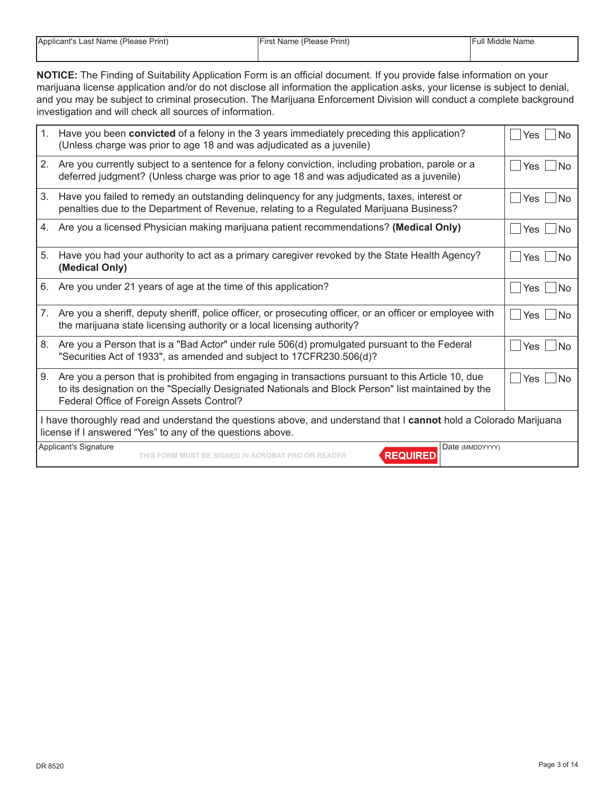| Applicant's Last Name (Please Print) |  |  |
|--------------------------------------|--|--|
|--------------------------------------|--|--|

**NOTICE:** The Finding of Suitability Application Form is an official document. If you provide false information on your marijuana license application and/or do not disclose all information the application asks, your license is subject to denial, and you may be subject to criminal prosecution. The Marijuana Enforcement Division will conduct a complete background investigation and will check all sources of information.

| 1. | Have you been convicted of a felony in the 3 years immediately preceding this application?<br>(Unless charge was prior to age 18 and was adjudicated as a juvenile)                                                                                   | Yes<br><b>No</b>   |  |  |
|----|-------------------------------------------------------------------------------------------------------------------------------------------------------------------------------------------------------------------------------------------------------|--------------------|--|--|
|    | 2. Are you currently subject to a sentence for a felony conviction, including probation, parole or a<br>deferred judgment? (Unless charge was prior to age 18 and was adjudicated as a juvenile)                                                      | <b>No</b><br>l Yes |  |  |
| 3. | Have you failed to remedy an outstanding delinquency for any judgments, taxes, interest or<br>penalties due to the Department of Revenue, relating to a Regulated Marijuana Business?                                                                 | <b>No</b><br>l Yes |  |  |
|    | 4. Are you a licensed Physician making marijuana patient recommendations? (Medical Only)                                                                                                                                                              | Yes<br><b>No</b>   |  |  |
| 5. | Have you had your authority to act as a primary caregiver revoked by the State Health Agency?<br>(Medical Only)                                                                                                                                       | <b>No</b><br>l Yes |  |  |
| 6. | Are you under 21 years of age at the time of this application?                                                                                                                                                                                        | l Yes<br><b>No</b> |  |  |
|    | 7. Are you a sheriff, deputy sheriff, police officer, or prosecuting officer, or an officer or employee with<br>the marijuana state licensing authority or a local licensing authority?                                                               | l Yes<br><b>No</b> |  |  |
| 8. | Are you a Person that is a "Bad Actor" under rule 506(d) promulgated pursuant to the Federal<br>"Securities Act of 1933", as amended and subject to 17CFR230.506(d)?                                                                                  | <b>No</b><br>Yes   |  |  |
| 9. | Are you a person that is prohibited from engaging in transactions pursuant to this Article 10, due<br>to its designation on the "Specially Designated Nationals and Block Person" list maintained by the<br>Federal Office of Foreign Assets Control? | Yes<br><b>No</b>   |  |  |
|    | I have thoroughly read and understand the questions above, and understand that I cannot hold a Colorado Marijuana<br>license if I answered "Yes" to any of the questions above.                                                                       |                    |  |  |
|    | Applicant's Signature<br>Date (MMDDYYYY)<br><b>REQUIRED</b><br>THIS FORM MUST BE SIGNED IN ACROBAT PRO OR READER                                                                                                                                      |                    |  |  |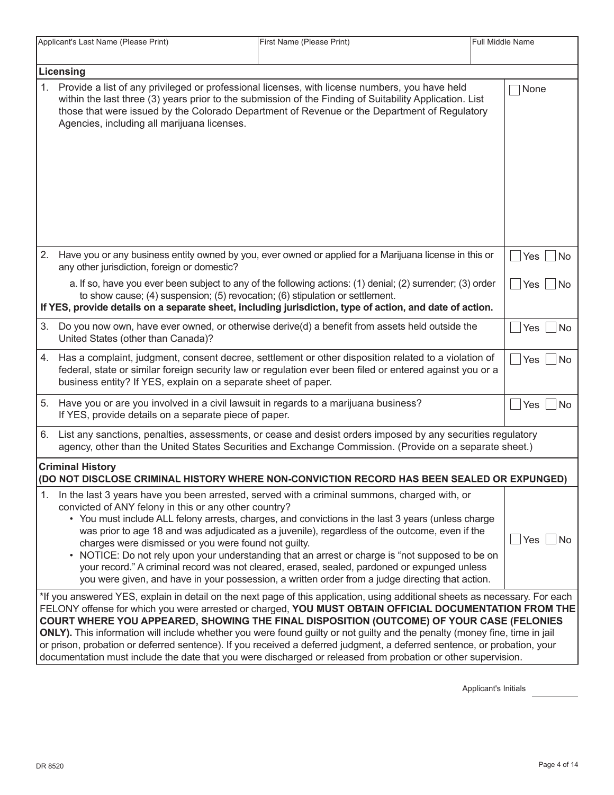|    | Applicant's Last Name (Please Print)                                                                                                                                                                                                                                                                                                                                                                                                                                                                                                                                                                                                                                                                          | First Name (Please Print)<br>Full Middle Name                                                                                                                                                                                                                                                                                                                                                                                                                                                                                                                                                                |  |                   |
|----|---------------------------------------------------------------------------------------------------------------------------------------------------------------------------------------------------------------------------------------------------------------------------------------------------------------------------------------------------------------------------------------------------------------------------------------------------------------------------------------------------------------------------------------------------------------------------------------------------------------------------------------------------------------------------------------------------------------|--------------------------------------------------------------------------------------------------------------------------------------------------------------------------------------------------------------------------------------------------------------------------------------------------------------------------------------------------------------------------------------------------------------------------------------------------------------------------------------------------------------------------------------------------------------------------------------------------------------|--|-------------------|
|    | Licensing                                                                                                                                                                                                                                                                                                                                                                                                                                                                                                                                                                                                                                                                                                     |                                                                                                                                                                                                                                                                                                                                                                                                                                                                                                                                                                                                              |  |                   |
| 1. | Agencies, including all marijuana licenses.                                                                                                                                                                                                                                                                                                                                                                                                                                                                                                                                                                                                                                                                   | Provide a list of any privileged or professional licenses, with license numbers, you have held<br>within the last three (3) years prior to the submission of the Finding of Suitability Application. List<br>those that were issued by the Colorado Department of Revenue or the Department of Regulatory                                                                                                                                                                                                                                                                                                    |  | None              |
| 2. | any other jurisdiction, foreign or domestic?                                                                                                                                                                                                                                                                                                                                                                                                                                                                                                                                                                                                                                                                  | Have you or any business entity owned by you, ever owned or applied for a Marijuana license in this or                                                                                                                                                                                                                                                                                                                                                                                                                                                                                                       |  | Yes<br> No        |
|    | to show cause; (4) suspension; (5) revocation; (6) stipulation or settlement.                                                                                                                                                                                                                                                                                                                                                                                                                                                                                                                                                                                                                                 | a. If so, have you ever been subject to any of the following actions: (1) denial; (2) surrender; (3) order<br>If YES, provide details on a separate sheet, including jurisdiction, type of action, and date of action.                                                                                                                                                                                                                                                                                                                                                                                       |  | Yes <br><i>No</i> |
| 3. | United States (other than Canada)?                                                                                                                                                                                                                                                                                                                                                                                                                                                                                                                                                                                                                                                                            | Do you now own, have ever owned, or otherwise derive(d) a benefit from assets held outside the                                                                                                                                                                                                                                                                                                                                                                                                                                                                                                               |  | $Yes \n  No$      |
|    | business entity? If YES, explain on a separate sheet of paper.                                                                                                                                                                                                                                                                                                                                                                                                                                                                                                                                                                                                                                                | 4. Has a complaint, judgment, consent decree, settlement or other disposition related to a violation of<br>federal, state or similar foreign security law or regulation ever been filed or entered against you or a                                                                                                                                                                                                                                                                                                                                                                                          |  | $ Yes $ $ No$     |
| 5. | Have you or are you involved in a civil lawsuit in regards to a marijuana business?<br>If YES, provide details on a separate piece of paper.                                                                                                                                                                                                                                                                                                                                                                                                                                                                                                                                                                  |                                                                                                                                                                                                                                                                                                                                                                                                                                                                                                                                                                                                              |  | Yes No            |
| 6. |                                                                                                                                                                                                                                                                                                                                                                                                                                                                                                                                                                                                                                                                                                               | List any sanctions, penalties, assessments, or cease and desist orders imposed by any securities regulatory<br>agency, other than the United States Securities and Exchange Commission. (Provide on a separate sheet.)                                                                                                                                                                                                                                                                                                                                                                                       |  |                   |
|    | <b>Criminal History</b>                                                                                                                                                                                                                                                                                                                                                                                                                                                                                                                                                                                                                                                                                       | (DO NOT DISCLOSE CRIMINAL HISTORY WHERE NON-CONVICTION RECORD HAS BEEN SEALED OR EXPUNGED)                                                                                                                                                                                                                                                                                                                                                                                                                                                                                                                   |  |                   |
| 1. | convicted of ANY felony in this or any other country?<br>charges were dismissed or you were found not guilty.                                                                                                                                                                                                                                                                                                                                                                                                                                                                                                                                                                                                 | In the last 3 years have you been arrested, served with a criminal summons, charged with, or<br>• You must include ALL felony arrests, charges, and convictions in the last 3 years (unless charge<br>was prior to age 18 and was adjudicated as a juvenile), regardless of the outcome, even if the<br>• NOTICE: Do not rely upon your understanding that an arrest or charge is "not supposed to be on<br>your record." A criminal record was not cleared, erased, sealed, pardoned or expunged unless<br>you were given, and have in your possession, a written order from a judge directing that action. |  | $Yes \mid No$     |
|    | *If you answered YES, explain in detail on the next page of this application, using additional sheets as necessary. For each<br>FELONY offense for which you were arrested or charged, YOU MUST OBTAIN OFFICIAL DOCUMENTATION FROM THE<br>COURT WHERE YOU APPEARED, SHOWING THE FINAL DISPOSITION (OUTCOME) OF YOUR CASE (FELONIES<br>ONLY). This information will include whether you were found guilty or not guilty and the penalty (money fine, time in jail<br>or prison, probation or deferred sentence). If you received a deferred judgment, a deferred sentence, or probation, your<br>documentation must include the date that you were discharged or released from probation or other supervision. |                                                                                                                                                                                                                                                                                                                                                                                                                                                                                                                                                                                                              |  |                   |

Applicant's Initials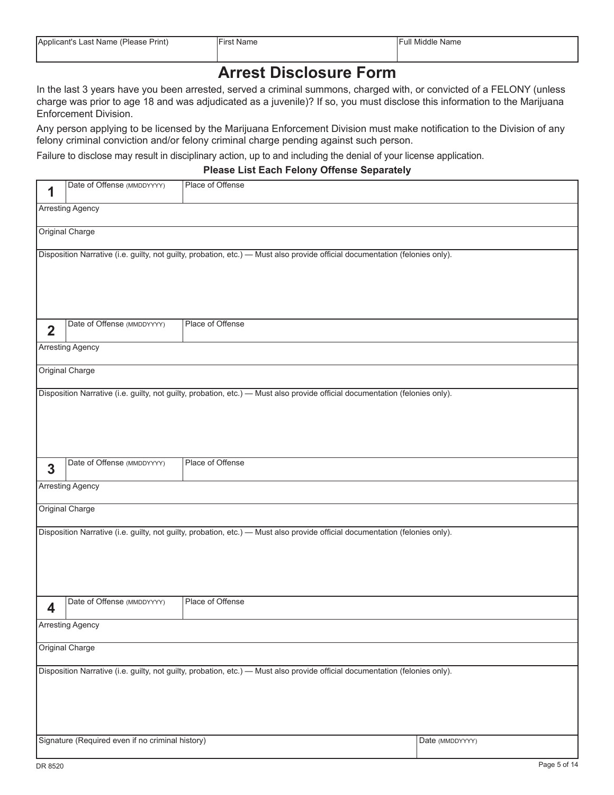| Applicant's Last Name (Please Print) | $- \cdot$<br><b>First Name</b> | <b>Full Middle Name</b> |
|--------------------------------------|--------------------------------|-------------------------|
|                                      |                                |                         |

### **Arrest Disclosure Form**

In the last 3 years have you been arrested, served a criminal summons, charged with, or convicted of a FELONY (unless charge was prior to age 18 and was adjudicated as a juvenile)? If so, you must disclose this information to the Marijuana Enforcement Division.

Any person applying to be licensed by the Marijuana Enforcement Division must make notification to the Division of any felony criminal conviction and/or felony criminal charge pending against such person.

Failure to disclose may result in disciplinary action, up to and including the denial of your license application.

#### **Please List Each Felony Offense Separately**

| 1              | Date of Offense (MMDDYYYY)                                                                                                                                                                          | Place of Offense                                                                                                             |  |  |  |
|----------------|-----------------------------------------------------------------------------------------------------------------------------------------------------------------------------------------------------|------------------------------------------------------------------------------------------------------------------------------|--|--|--|
|                | <b>Arresting Agency</b>                                                                                                                                                                             |                                                                                                                              |  |  |  |
|                | Original Charge                                                                                                                                                                                     |                                                                                                                              |  |  |  |
|                |                                                                                                                                                                                                     | Disposition Narrative (i.e. guilty, not guilty, probation, etc.) - Must also provide official documentation (felonies only). |  |  |  |
| $\overline{2}$ | Date of Offense (MMDDYYYY)                                                                                                                                                                          | Place of Offense                                                                                                             |  |  |  |
|                | <b>Arresting Agency</b>                                                                                                                                                                             |                                                                                                                              |  |  |  |
|                | Original Charge                                                                                                                                                                                     |                                                                                                                              |  |  |  |
|                |                                                                                                                                                                                                     | Disposition Narrative (i.e. guilty, not guilty, probation, etc.) - Must also provide official documentation (felonies only). |  |  |  |
| 3              | Date of Offense (MMDDYYYY)                                                                                                                                                                          | Place of Offense                                                                                                             |  |  |  |
|                | <b>Arresting Agency</b>                                                                                                                                                                             |                                                                                                                              |  |  |  |
|                | Original Charge                                                                                                                                                                                     |                                                                                                                              |  |  |  |
|                |                                                                                                                                                                                                     | Disposition Narrative (i.e. guilty, not guilty, probation, etc.) - Must also provide official documentation (felonies only). |  |  |  |
| 4              | Date of Offense (MMDDYYYY)                                                                                                                                                                          | Place of Offense                                                                                                             |  |  |  |
|                | <b>Arresting Agency</b>                                                                                                                                                                             |                                                                                                                              |  |  |  |
|                | Original Charge                                                                                                                                                                                     |                                                                                                                              |  |  |  |
|                | Disposition Narrative (i.e. guilty, not guilty, probation, etc.) - Must also provide official documentation (felonies only).<br>Signature (Required even if no criminal history)<br>Date (MMDDYYYY) |                                                                                                                              |  |  |  |
|                |                                                                                                                                                                                                     |                                                                                                                              |  |  |  |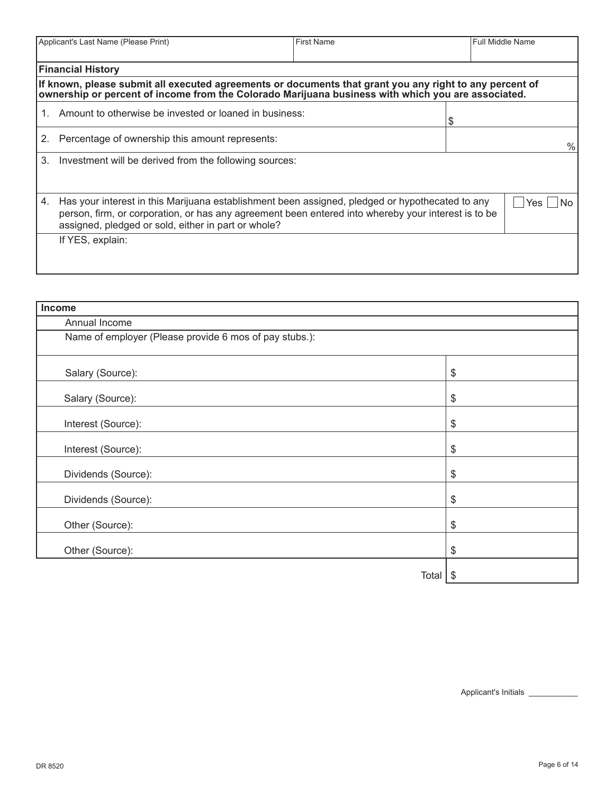|    | Applicant's Last Name (Please Print)<br><b>First Name</b><br><b>Full Middle Name</b>                                                                                                                                                                                              |  |  |           |
|----|-----------------------------------------------------------------------------------------------------------------------------------------------------------------------------------------------------------------------------------------------------------------------------------|--|--|-----------|
|    | <b>Financial History</b>                                                                                                                                                                                                                                                          |  |  |           |
|    | If known, please submit all executed agreements or documents that grant you any right to any percent of<br>ownership or percent of income from the Colorado Marijuana business with which you are associated.                                                                     |  |  |           |
| 1. | Amount to otherwise be invested or loaned in business:                                                                                                                                                                                                                            |  |  |           |
| 2. | Percentage of ownership this amount represents:                                                                                                                                                                                                                                   |  |  | $\%$      |
| 3. | Investment will be derived from the following sources:                                                                                                                                                                                                                            |  |  |           |
| 4. | Has your interest in this Marijuana establishment been assigned, pledged or hypothecated to any<br>person, firm, or corporation, or has any agreement been entered into whereby your interest is to be<br>assigned, pledged or sold, either in part or whole?<br>If YES, explain: |  |  | Yes<br>No |
|    |                                                                                                                                                                                                                                                                                   |  |  |           |

| Income                                                 |                            |  |
|--------------------------------------------------------|----------------------------|--|
| Annual Income                                          |                            |  |
| Name of employer (Please provide 6 mos of pay stubs.): |                            |  |
| Salary (Source):                                       | $\boldsymbol{\mathsf{\$}}$ |  |
| Salary (Source):                                       | $\boldsymbol{\mathsf{\$}}$ |  |
| Interest (Source):                                     | \$                         |  |
| Interest (Source):                                     | \$                         |  |
| Dividends (Source):                                    | $\boldsymbol{\mathsf{\$}}$ |  |
| Dividends (Source):                                    | $\frac{1}{2}$              |  |
| Other (Source):                                        | \$                         |  |
| Other (Source):                                        | \$                         |  |
| Total                                                  | \$                         |  |

Applicant's Initials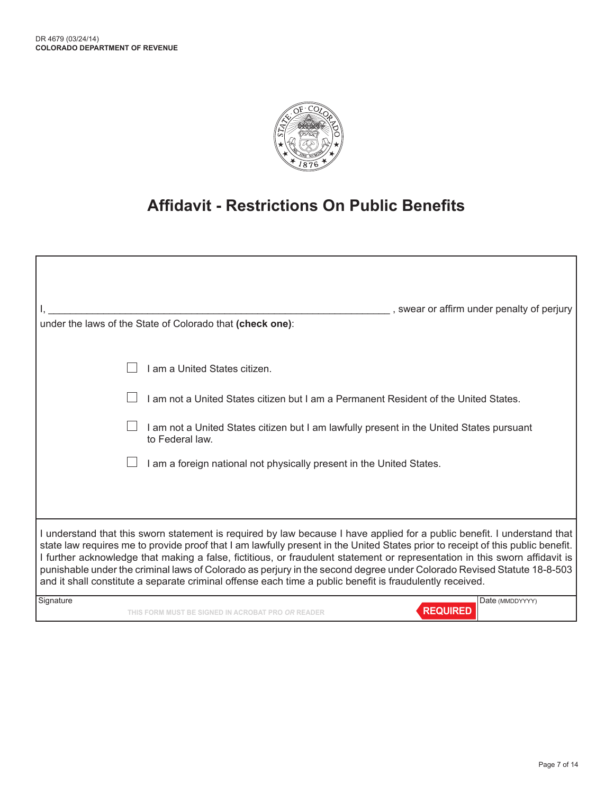

# **Affidavit - Restrictions On Public Benefits**

| , swear or affirm under penalty of perjury                                                                                                                                                                                                                                                                                                                                                                                                                                                                                                                                                                                       |
|----------------------------------------------------------------------------------------------------------------------------------------------------------------------------------------------------------------------------------------------------------------------------------------------------------------------------------------------------------------------------------------------------------------------------------------------------------------------------------------------------------------------------------------------------------------------------------------------------------------------------------|
| under the laws of the State of Colorado that (check one):                                                                                                                                                                                                                                                                                                                                                                                                                                                                                                                                                                        |
| am a United States citizen.                                                                                                                                                                                                                                                                                                                                                                                                                                                                                                                                                                                                      |
| am not a United States citizen but I am a Permanent Resident of the United States.                                                                                                                                                                                                                                                                                                                                                                                                                                                                                                                                               |
| I am not a United States citizen but I am lawfully present in the United States pursuant<br>to Federal law.                                                                                                                                                                                                                                                                                                                                                                                                                                                                                                                      |
| I am a foreign national not physically present in the United States.                                                                                                                                                                                                                                                                                                                                                                                                                                                                                                                                                             |
|                                                                                                                                                                                                                                                                                                                                                                                                                                                                                                                                                                                                                                  |
| I understand that this sworn statement is required by law because I have applied for a public benefit. I understand that<br>state law requires me to provide proof that I am lawfully present in the United States prior to receipt of this public benefit.<br>I further acknowledge that making a false, fictitious, or fraudulent statement or representation in this sworn affidavit is<br>punishable under the criminal laws of Colorado as perjury in the second degree under Colorado Revised Statute 18-8-503<br>and it shall constitute a separate criminal offense each time a public benefit is fraudulently received. |
| Signature<br>Date (MMDDYYYY)<br><b>REQUIRED</b><br>THIS FORM MUST BE SIGNED IN ACROBAT PRO <i>OR</i> READER                                                                                                                                                                                                                                                                                                                                                                                                                                                                                                                      |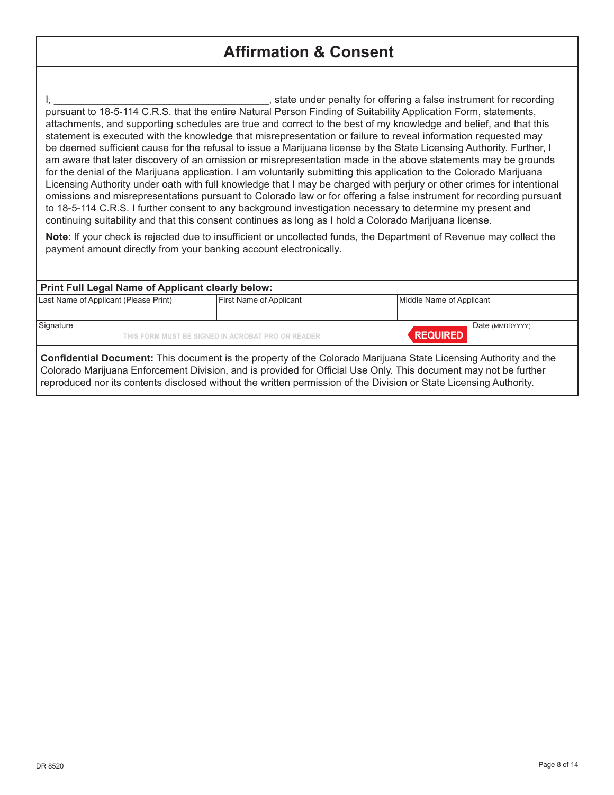## **Affirmation & Consent**

I, tate under penalty for offering a false instrument for recording in the state under penalty for offering a false instrument for recording pursuant to 18-5-114 C.R.S. that the entire Natural Person Finding of Suitability Application Form, statements, attachments, and supporting schedules are true and correct to the best of my knowledge and belief, and that this statement is executed with the knowledge that misrepresentation or failure to reveal information requested may be deemed sufficient cause for the refusal to issue a Marijuana license by the State Licensing Authority. Further, I am aware that later discovery of an omission or misrepresentation made in the above statements may be grounds for the denial of the Marijuana application. I am voluntarily submitting this application to the Colorado Marijuana Licensing Authority under oath with full knowledge that I may be charged with perjury or other crimes for intentional omissions and misrepresentations pursuant to Colorado law or for offering a false instrument for recording pursuant to 18-5-114 C.R.S. I further consent to any background investigation necessary to determine my present and continuing suitability and that this consent continues as long as I hold a Colorado Marijuana license.

**Note**: If your check is rejected due to insufficient or uncollected funds, the Department of Revenue may collect the payment amount directly from your banking account electronically.

#### **Print Full Legal Name of Applicant clearly below:**

| Last Name of Applicant (Please Print) | <b>First Name of Applicant</b>                    | Middle Name of Applicant           |
|---------------------------------------|---------------------------------------------------|------------------------------------|
| Signature                             | THIS FORM MUST BE SIGNED IN ACROBAT PRO OR READER | Date (MMDDYYYY)<br><b>REQUIRED</b> |

**Confidential Document:** This document is the property of the Colorado Marijuana State Licensing Authority and the Colorado Marijuana Enforcement Division, and is provided for Official Use Only. This document may not be further reproduced nor its contents disclosed without the written permission of the Division or State Licensing Authority.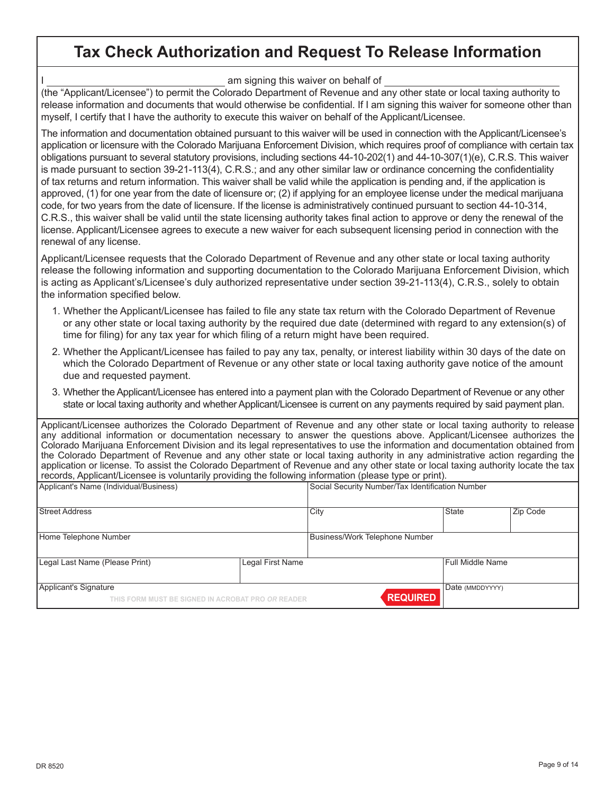### **Tax Check Authorization and Request To Release Information**

I am signing this waiver on behalf of

(the "Applicant/Licensee") to permit the Colorado Department of Revenue and any other state or local taxing authority to release information and documents that would otherwise be confidential. If I am signing this waiver for someone other than myself, I certify that I have the authority to execute this waiver on behalf of the Applicant/Licensee.

The information and documentation obtained pursuant to this waiver will be used in connection with the Applicant/Licensee's application or licensure with the Colorado Marijuana Enforcement Division, which requires proof of compliance with certain tax obligations pursuant to several statutory provisions, including sections 44-10-202(1) and 44-10-307(1)(e), C.R.S. This waiver is made pursuant to section 39-21-113(4), C.R.S.; and any other similar law or ordinance concerning the confidentiality of tax returns and return information. This waiver shall be valid while the application is pending and, if the application is approved, (1) for one year from the date of licensure or; (2) if applying for an employee license under the medical marijuana code, for two years from the date of licensure. If the license is administratively continued pursuant to section 44-10-314, C.R.S., this waiver shall be valid until the state licensing authority takes final action to approve or deny the renewal of the license. Applicant/Licensee agrees to execute a new waiver for each subsequent licensing period in connection with the renewal of any license.

Applicant/Licensee requests that the Colorado Department of Revenue and any other state or local taxing authority release the following information and supporting documentation to the Colorado Marijuana Enforcement Division, which is acting as Applicant's/Licensee's duly authorized representative under section 39-21-113(4), C.R.S., solely to obtain the information specified below.

- 1. Whether the Applicant/Licensee has failed to file any state tax return with the Colorado Department of Revenue or any other state or local taxing authority by the required due date (determined with regard to any extension(s) of time for filing) for any tax year for which filing of a return might have been required.
- 2. Whether the Applicant/Licensee has failed to pay any tax, penalty, or interest liability within 30 days of the date on which the Colorado Department of Revenue or any other state or local taxing authority gave notice of the amount due and requested payment.
- 3. Whether the Applicant/Licensee has entered into a payment plan with the Colorado Department of Revenue or any other state or local taxing authority and whether Applicant/Licensee is current on any payments required by said payment plan.

|                                                                                                        | Applicant/Licensee authorizes the Colorado Department of Revenue and any other state or local taxing authority to release         |
|--------------------------------------------------------------------------------------------------------|-----------------------------------------------------------------------------------------------------------------------------------|
|                                                                                                        | any additional information or documentation necessary to answer the questions above. Applicant/Licensee authorizes the            |
|                                                                                                        | Colorado Marijuana Enforcement Division and its legal representatives to use the information and documentation obtained from      |
|                                                                                                        | the Colorado Department of Revenue and any other state or local taxing authority in any administrative action regarding the       |
|                                                                                                        | application or license. To assist the Colorado Department of Revenue and any other state or local taxing authority locate the tax |
| records, Applicant/Licensee is voluntarily providing the following information (please type or print). |                                                                                                                                   |
| Applicant's Name (Individual/Business)                                                                 | Social Security Number/Tax Identification Number                                                                                  |

| Street Address                                                             |                  | City                           | <b>State</b>     | Zip Code |
|----------------------------------------------------------------------------|------------------|--------------------------------|------------------|----------|
| Home Telephone Number                                                      |                  | Business/Work Telephone Number |                  |          |
| Legal Last Name (Please Print)                                             | Legal First Name |                                | Full Middle Name |          |
| Applicant's Signature<br>THIS FORM MUST BE SIGNED IN ACROBAT PRO OR READER |                  | <b>REQUIRED</b>                | Date (MMDDYYYY)  |          |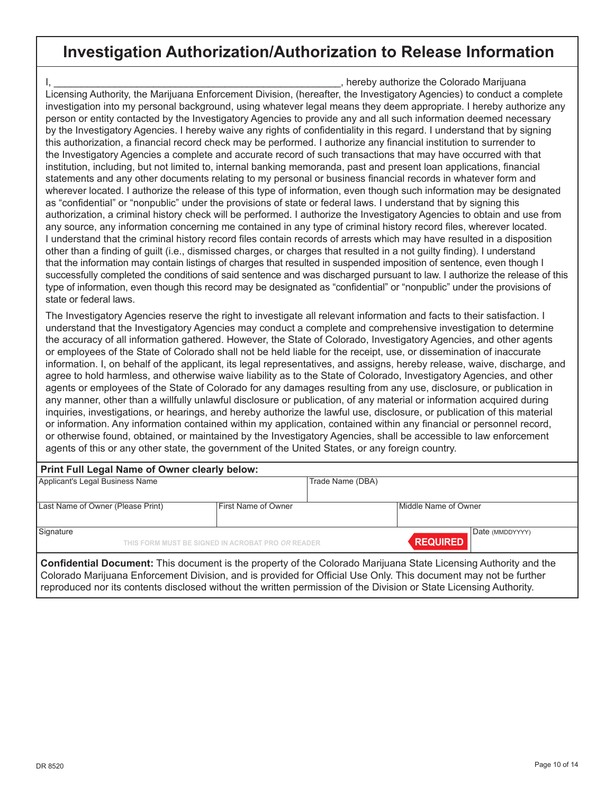### **Investigation Authorization/Authorization to Release Information**

I, \_\_\_\_\_\_\_\_\_\_\_\_\_\_\_\_\_\_\_\_\_\_\_\_\_\_\_\_\_\_\_\_\_\_\_\_\_\_\_\_\_\_\_\_\_\_\_\_\_\_\_\_, hereby authorize the Colorado Marijuana Licensing Authority, the Marijuana Enforcement Division, (hereafter, the Investigatory Agencies) to conduct a complete investigation into my personal background, using whatever legal means they deem appropriate. I hereby authorize any person or entity contacted by the Investigatory Agencies to provide any and all such information deemed necessary by the Investigatory Agencies. I hereby waive any rights of confidentiality in this regard. I understand that by signing this authorization, a financial record check may be performed. I authorize any financial institution to surrender to the Investigatory Agencies a complete and accurate record of such transactions that may have occurred with that institution, including, but not limited to, internal banking memoranda, past and present loan applications, financial statements and any other documents relating to my personal or business financial records in whatever form and wherever located. I authorize the release of this type of information, even though such information may be designated as "confidential" or "nonpublic" under the provisions of state or federal laws. I understand that by signing this authorization, a criminal history check will be performed. I authorize the Investigatory Agencies to obtain and use from any source, any information concerning me contained in any type of criminal history record files, wherever located. I understand that the criminal history record files contain records of arrests which may have resulted in a disposition other than a finding of guilt (i.e., dismissed charges, or charges that resulted in a not guilty finding). I understand that the information may contain listings of charges that resulted in suspended imposition of sentence, even though I successfully completed the conditions of said sentence and was discharged pursuant to law. I authorize the release of this type of information, even though this record may be designated as "confidential" or "nonpublic" under the provisions of state or federal laws.

The Investigatory Agencies reserve the right to investigate all relevant information and facts to their satisfaction. I understand that the Investigatory Agencies may conduct a complete and comprehensive investigation to determine the accuracy of all information gathered. However, the State of Colorado, Investigatory Agencies, and other agents or employees of the State of Colorado shall not be held liable for the receipt, use, or dissemination of inaccurate information. I, on behalf of the applicant, its legal representatives, and assigns, hereby release, waive, discharge, and agree to hold harmless, and otherwise waive liability as to the State of Colorado, Investigatory Agencies, and other agents or employees of the State of Colorado for any damages resulting from any use, disclosure, or publication in any manner, other than a willfully unlawful disclosure or publication, of any material or information acquired during inquiries, investigations, or hearings, and hereby authorize the lawful use, disclosure, or publication of this material or information. Any information contained within my application, contained within any financial or personnel record, or otherwise found, obtained, or maintained by the Investigatory Agencies, shall be accessible to law enforcement agents of this or any other state, the government of the United States, or any foreign country.

| Print Full Legal Name of Owner clearly below:                                                                    |                     |                  |                      |  |
|------------------------------------------------------------------------------------------------------------------|---------------------|------------------|----------------------|--|
| Applicant's Legal Business Name                                                                                  |                     | Trade Name (DBA) |                      |  |
| Last Name of Owner (Please Print)                                                                                | First Name of Owner |                  | Middle Name of Owner |  |
| Signature<br>Date (MMDDYYYY)<br><b>REQUIRED</b><br>THIS FORM MUST BE SIGNED IN ACROBAT PRO OR READER             |                     |                  |                      |  |
| Confidential Document: This document is the property of the Colorado Marijuana State Licensing Authority and the |                     |                  |                      |  |

Colorado Marijuana Enforcement Division, and is provided for Official Use Only. This document may not be further reproduced nor its contents disclosed without the written permission of the Division or State Licensing Authority.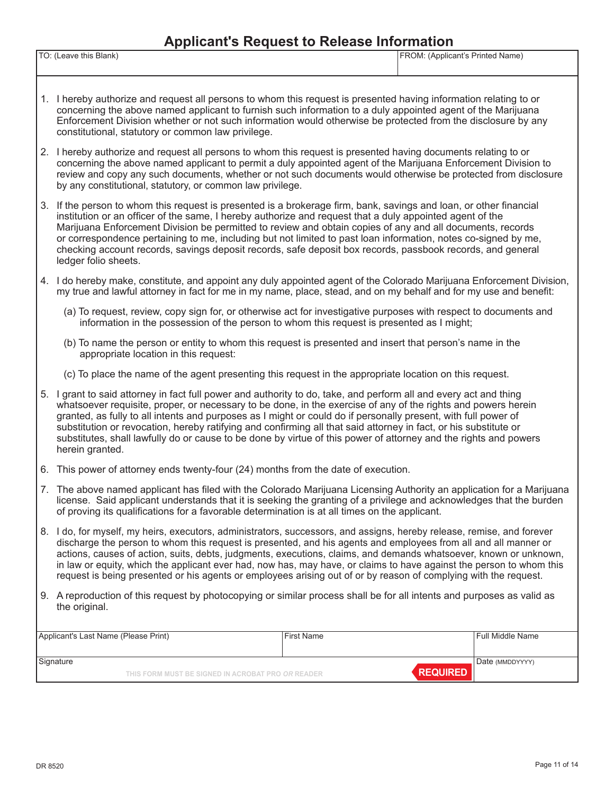#### **Applicant's Request to Release Information**

| TO:              | (Applicant's Printed Name) |
|------------------|----------------------------|
| eave this Blank) | ∵⊏r∖∪l∖ı. ∶                |
|                  |                            |

- 1. I hereby authorize and request all persons to whom this request is presented having information relating to or concerning the above named applicant to furnish such information to a duly appointed agent of the Marijuana Enforcement Division whether or not such information would otherwise be protected from the disclosure by any constitutional, statutory or common law privilege.
- 2. I hereby authorize and request all persons to whom this request is presented having documents relating to or concerning the above named applicant to permit a duly appointed agent of the Marijuana Enforcement Division to review and copy any such documents, whether or not such documents would otherwise be protected from disclosure by any constitutional, statutory, or common law privilege.
- 3. If the person to whom this request is presented is a brokerage firm, bank, savings and loan, or other financial institution or an officer of the same, I hereby authorize and request that a duly appointed agent of the Marijuana Enforcement Division be permitted to review and obtain copies of any and all documents, records or correspondence pertaining to me, including but not limited to past loan information, notes co-signed by me, checking account records, savings deposit records, safe deposit box records, passbook records, and general ledger folio sheets.
- 4. I do hereby make, constitute, and appoint any duly appointed agent of the Colorado Marijuana Enforcement Division, my true and lawful attorney in fact for me in my name, place, stead, and on my behalf and for my use and benefit:
	- (a) To request, review, copy sign for, or otherwise act for investigative purposes with respect to documents and information in the possession of the person to whom this request is presented as I might;
	- (b) To name the person or entity to whom this request is presented and insert that person's name in the appropriate location in this request:
	- (c) To place the name of the agent presenting this request in the appropriate location on this request.
- 5. I grant to said attorney in fact full power and authority to do, take, and perform all and every act and thing whatsoever requisite, proper, or necessary to be done, in the exercise of any of the rights and powers herein granted, as fully to all intents and purposes as I might or could do if personally present, with full power of substitution or revocation, hereby ratifying and confirming all that said attorney in fact, or his substitute or substitutes, shall lawfully do or cause to be done by virtue of this power of attorney and the rights and powers herein granted.
- 6. This power of attorney ends twenty-four (24) months from the date of execution.
- 7. The above named applicant has filed with the Colorado Marijuana Licensing Authority an application for a Marijuana license. Said applicant understands that it is seeking the granting of a privilege and acknowledges that the burden of proving its qualifications for a favorable determination is at all times on the applicant.
- 8. I do, for myself, my heirs, executors, administrators, successors, and assigns, hereby release, remise, and forever discharge the person to whom this request is presented, and his agents and employees from all and all manner or actions, causes of action, suits, debts, judgments, executions, claims, and demands whatsoever, known or unknown, in law or equity, which the applicant ever had, now has, may have, or claims to have against the person to whom this request is being presented or his agents or employees arising out of or by reason of complying with the request.
- 9. A reproduction of this request by photocopying or similar process shall be for all intents and purposes as valid as the original.

| Applicant's Last Name (Please Print)                           |  | <b>First Name</b> | Full Middle Name                   |
|----------------------------------------------------------------|--|-------------------|------------------------------------|
| Signature<br>THIS FORM MUST BE SIGNED IN ACROBAT PRO OR READER |  |                   | Date (MMDDYYYY)<br><b>REQUIRED</b> |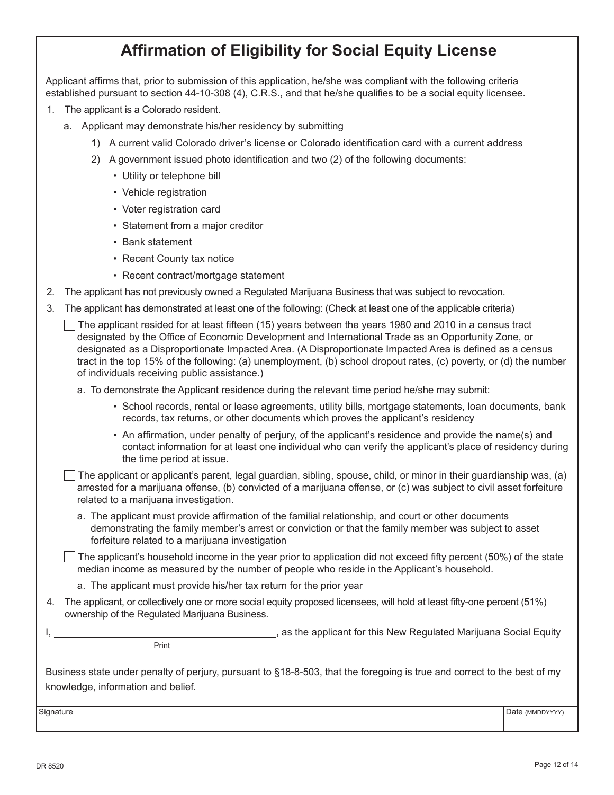# **Affirmation of Eligibility for Social Equity License**

Applicant affirms that, prior to submission of this application, he/she was compliant with the following criteria established pursuant to section 44-10-308 (4), C.R.S., and that he/she qualifies to be a social equity licensee.

- 1. The applicant is a Colorado resident.
	- a. Applicant may demonstrate his/her residency by submitting
		- 1) A current valid Colorado driver's license or Colorado identification card with a current address
		- 2) A government issued photo identification and two (2) of the following documents:
			- Utility or telephone bill
			- Vehicle registration
			- Voter registration card
			- Statement from a major creditor
			- Bank statement
			- Recent County tax notice
			- Recent contract/mortgage statement
- 2. The applicant has not previously owned a Regulated Marijuana Business that was subject to revocation.
- 3. The applicant has demonstrated at least one of the following: (Check at least one of the applicable criteria)
	- $\Box$  The applicant resided for at least fifteen (15) years between the years 1980 and 2010 in a census tract designated by the Office of Economic Development and International Trade as an Opportunity Zone, or designated as a Disproportionate Impacted Area. (A Disproportionate Impacted Area is defined as a census tract in the top 15% of the following: (a) unemployment, (b) school dropout rates, (c) poverty, or (d) the number of individuals receiving public assistance.)
		- a. To demonstrate the Applicant residence during the relevant time period he/she may submit:
			- School records, rental or lease agreements, utility bills, mortgage statements, loan documents, bank records, tax returns, or other documents which proves the applicant's residency
			- An affirmation, under penalty of perjury, of the applicant's residence and provide the name(s) and contact information for at least one individual who can verify the applicant's place of residency during the time period at issue.

The applicant or applicant's parent, legal guardian, sibling, spouse, child, or minor in their guardianship was, (a) arrested for a marijuana offense, (b) convicted of a marijuana offense, or (c) was subject to civil asset forfeiture related to a marijuana investigation.

a. The applicant must provide affirmation of the familial relationship, and court or other documents demonstrating the family member's arrest or conviction or that the family member was subject to asset forfeiture related to a marijuana investigation

 $\Box$  The applicant's household income in the year prior to application did not exceed fifty percent (50%) of the state median income as measured by the number of people who reside in the Applicant's household.

- a. The applicant must provide his/her tax return for the prior year
- 4. The applicant, or collectively one or more social equity proposed licensees, will hold at least fifty-one percent (51%) ownership of the Regulated Marijuana Business.

I, the applicant for this New Regulated Marijuana Social Equity is a stream of the applicant for this New Regulated Marijuana Social Equity

**Print** Print

Business state under penalty of perjury, pursuant to §18-8-503, that the foregoing is true and correct to the best of my knowledge, information and belief.

Signature **Date (MMDDYYYY)** Date (MMDDYYYY)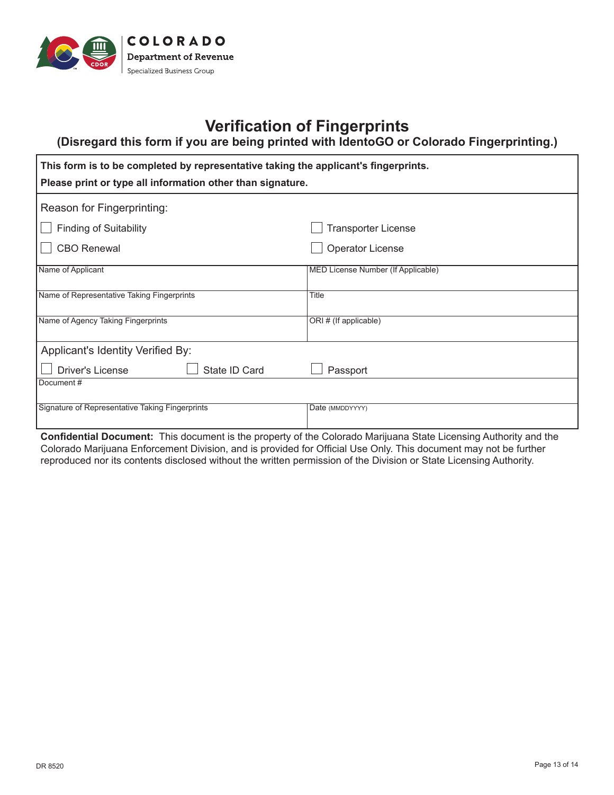

# **Verification of Fingerprints**

**(Disregard this form if you are being printed with IdentoGO or Colorado Fingerprinting.)**

| This form is to be completed by representative taking the applicant's fingerprints. |                                    |  |
|-------------------------------------------------------------------------------------|------------------------------------|--|
| Please print or type all information other than signature.                          |                                    |  |
| Reason for Fingerprinting:                                                          |                                    |  |
| <b>Finding of Suitability</b>                                                       | <b>Transporter License</b>         |  |
| <b>CBO Renewal</b>                                                                  | <b>Operator License</b>            |  |
| Name of Applicant                                                                   | MED License Number (If Applicable) |  |
| Name of Representative Taking Fingerprints                                          | Title                              |  |
| Name of Agency Taking Fingerprints                                                  | ORI # (If applicable)              |  |
| Applicant's Identity Verified By:                                                   |                                    |  |
| State ID Card<br><b>Driver's License</b>                                            | Passport                           |  |
| Document#                                                                           |                                    |  |
| Signature of Representative Taking Fingerprints                                     | Date (MMDDYYYY)                    |  |

**Confidential Document:** This document is the property of the Colorado Marijuana State Licensing Authority and the Colorado Marijuana Enforcement Division, and is provided for Official Use Only. This document may not be further reproduced nor its contents disclosed without the written permission of the Division or State Licensing Authority.